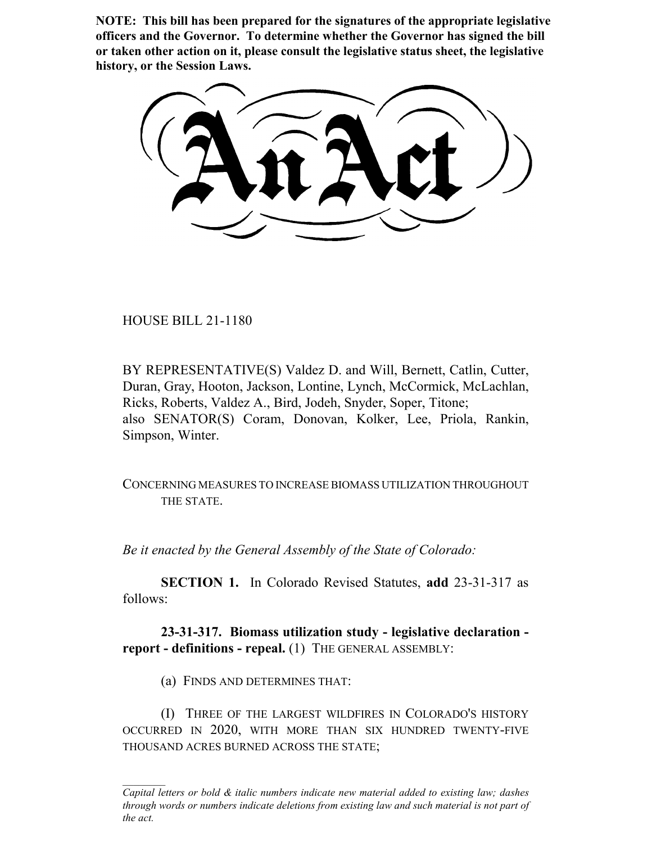**NOTE: This bill has been prepared for the signatures of the appropriate legislative officers and the Governor. To determine whether the Governor has signed the bill or taken other action on it, please consult the legislative status sheet, the legislative history, or the Session Laws.**

HOUSE BILL 21-1180

BY REPRESENTATIVE(S) Valdez D. and Will, Bernett, Catlin, Cutter, Duran, Gray, Hooton, Jackson, Lontine, Lynch, McCormick, McLachlan, Ricks, Roberts, Valdez A., Bird, Jodeh, Snyder, Soper, Titone; also SENATOR(S) Coram, Donovan, Kolker, Lee, Priola, Rankin, Simpson, Winter.

CONCERNING MEASURES TO INCREASE BIOMASS UTILIZATION THROUGHOUT THE STATE.

*Be it enacted by the General Assembly of the State of Colorado:*

**SECTION 1.** In Colorado Revised Statutes, **add** 23-31-317 as follows:

**23-31-317. Biomass utilization study - legislative declaration report - definitions - repeal.** (1) THE GENERAL ASSEMBLY:

(a) FINDS AND DETERMINES THAT:

(I) THREE OF THE LARGEST WILDFIRES IN COLORADO'S HISTORY OCCURRED IN 2020, WITH MORE THAN SIX HUNDRED TWENTY-FIVE THOUSAND ACRES BURNED ACROSS THE STATE;

*Capital letters or bold & italic numbers indicate new material added to existing law; dashes through words or numbers indicate deletions from existing law and such material is not part of the act.*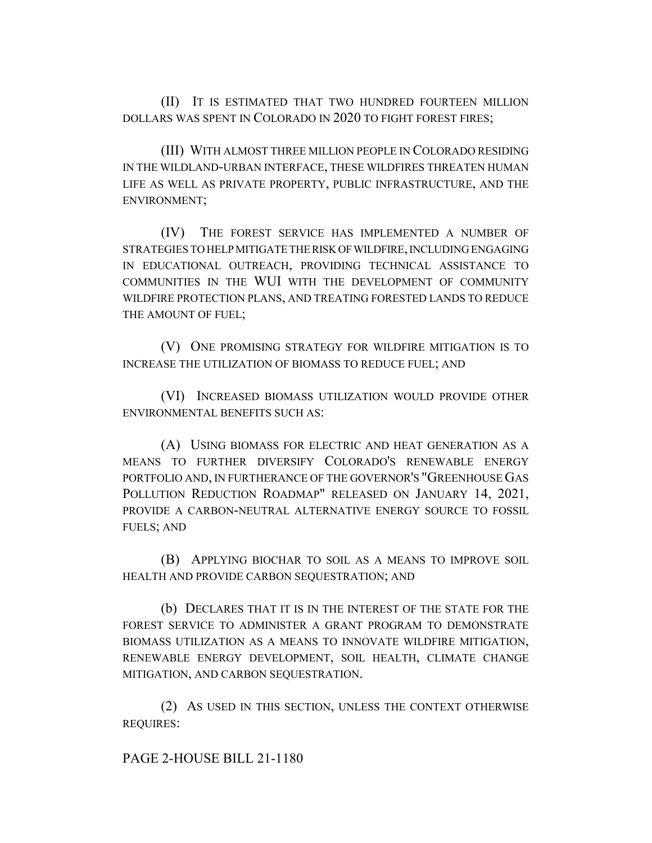(II) IT IS ESTIMATED THAT TWO HUNDRED FOURTEEN MILLION DOLLARS WAS SPENT IN COLORADO IN 2020 TO FIGHT FOREST FIRES;

(III) WITH ALMOST THREE MILLION PEOPLE IN COLORADO RESIDING IN THE WILDLAND-URBAN INTERFACE, THESE WILDFIRES THREATEN HUMAN LIFE AS WELL AS PRIVATE PROPERTY, PUBLIC INFRASTRUCTURE, AND THE ENVIRONMENT;

(IV) THE FOREST SERVICE HAS IMPLEMENTED A NUMBER OF STRATEGIES TO HELP MITIGATE THE RISK OF WILDFIRE, INCLUDING ENGAGING IN EDUCATIONAL OUTREACH, PROVIDING TECHNICAL ASSISTANCE TO COMMUNITIES IN THE WUI WITH THE DEVELOPMENT OF COMMUNITY WILDFIRE PROTECTION PLANS, AND TREATING FORESTED LANDS TO REDUCE THE AMOUNT OF FUEL;

(V) ONE PROMISING STRATEGY FOR WILDFIRE MITIGATION IS TO INCREASE THE UTILIZATION OF BIOMASS TO REDUCE FUEL; AND

(VI) INCREASED BIOMASS UTILIZATION WOULD PROVIDE OTHER ENVIRONMENTAL BENEFITS SUCH AS:

(A) USING BIOMASS FOR ELECTRIC AND HEAT GENERATION AS A MEANS TO FURTHER DIVERSIFY COLORADO'S RENEWABLE ENERGY PORTFOLIO AND, IN FURTHERANCE OF THE GOVERNOR'S "GREENHOUSE GAS POLLUTION REDUCTION ROADMAP" RELEASED ON JANUARY 14, 2021, PROVIDE A CARBON-NEUTRAL ALTERNATIVE ENERGY SOURCE TO FOSSIL FUELS; AND

(B) APPLYING BIOCHAR TO SOIL AS A MEANS TO IMPROVE SOIL HEALTH AND PROVIDE CARBON SEQUESTRATION; AND

(b) DECLARES THAT IT IS IN THE INTEREST OF THE STATE FOR THE FOREST SERVICE TO ADMINISTER A GRANT PROGRAM TO DEMONSTRATE BIOMASS UTILIZATION AS A MEANS TO INNOVATE WILDFIRE MITIGATION, RENEWABLE ENERGY DEVELOPMENT, SOIL HEALTH, CLIMATE CHANGE MITIGATION, AND CARBON SEQUESTRATION.

(2) AS USED IN THIS SECTION, UNLESS THE CONTEXT OTHERWISE REQUIRES:

PAGE 2-HOUSE BILL 21-1180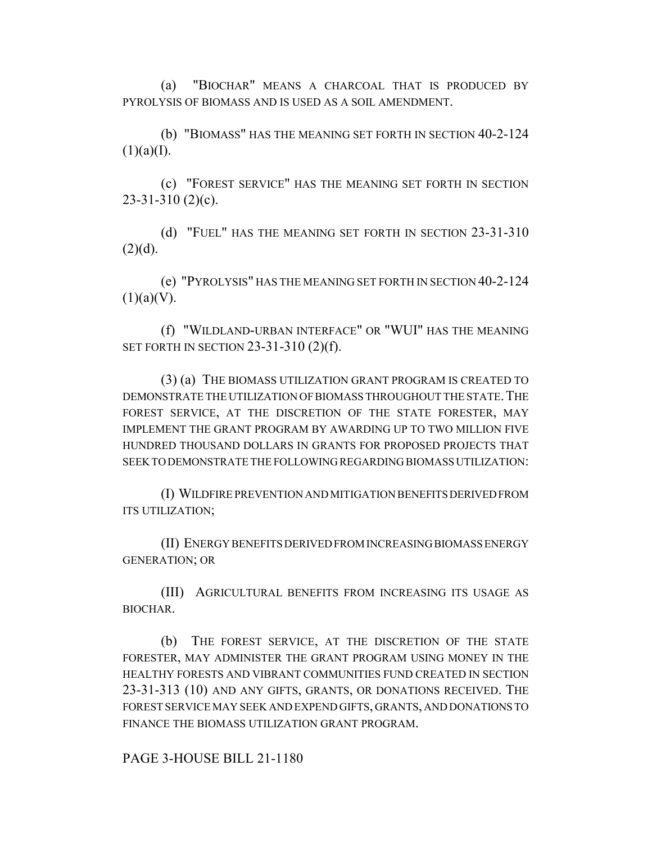(a) "BIOCHAR" MEANS A CHARCOAL THAT IS PRODUCED BY PYROLYSIS OF BIOMASS AND IS USED AS A SOIL AMENDMENT.

(b) "BIOMASS" HAS THE MEANING SET FORTH IN SECTION 40-2-124  $(1)(a)(I).$ 

(c) "FOREST SERVICE" HAS THE MEANING SET FORTH IN SECTION 23-31-310 (2)(c).

(d) "FUEL" HAS THE MEANING SET FORTH IN SECTION 23-31-310  $(2)(d)$ .

(e) "PYROLYSIS" HAS THE MEANING SET FORTH IN SECTION 40-2-124  $(1)(a)(V)$ .

(f) "WILDLAND-URBAN INTERFACE" OR "WUI" HAS THE MEANING SET FORTH IN SECTION 23-31-310 (2)(f).

(3) (a) THE BIOMASS UTILIZATION GRANT PROGRAM IS CREATED TO DEMONSTRATE THE UTILIZATION OF BIOMASS THROUGHOUT THE STATE. THE FOREST SERVICE, AT THE DISCRETION OF THE STATE FORESTER, MAY IMPLEMENT THE GRANT PROGRAM BY AWARDING UP TO TWO MILLION FIVE HUNDRED THOUSAND DOLLARS IN GRANTS FOR PROPOSED PROJECTS THAT SEEK TO DEMONSTRATE THE FOLLOWING REGARDING BIOMASS UTILIZATION:

(I) WILDFIRE PREVENTION AND MITIGATION BENEFITS DERIVED FROM ITS UTILIZATION;

(II) ENERGY BENEFITS DERIVED FROM INCREASING BIOMASS ENERGY GENERATION; OR

(III) AGRICULTURAL BENEFITS FROM INCREASING ITS USAGE AS BIOCHAR.

(b) THE FOREST SERVICE, AT THE DISCRETION OF THE STATE FORESTER, MAY ADMINISTER THE GRANT PROGRAM USING MONEY IN THE HEALTHY FORESTS AND VIBRANT COMMUNITIES FUND CREATED IN SECTION 23-31-313 (10) AND ANY GIFTS, GRANTS, OR DONATIONS RECEIVED. THE FOREST SERVICE MAY SEEK AND EXPEND GIFTS, GRANTS, AND DONATIONS TO FINANCE THE BIOMASS UTILIZATION GRANT PROGRAM.

PAGE 3-HOUSE BILL 21-1180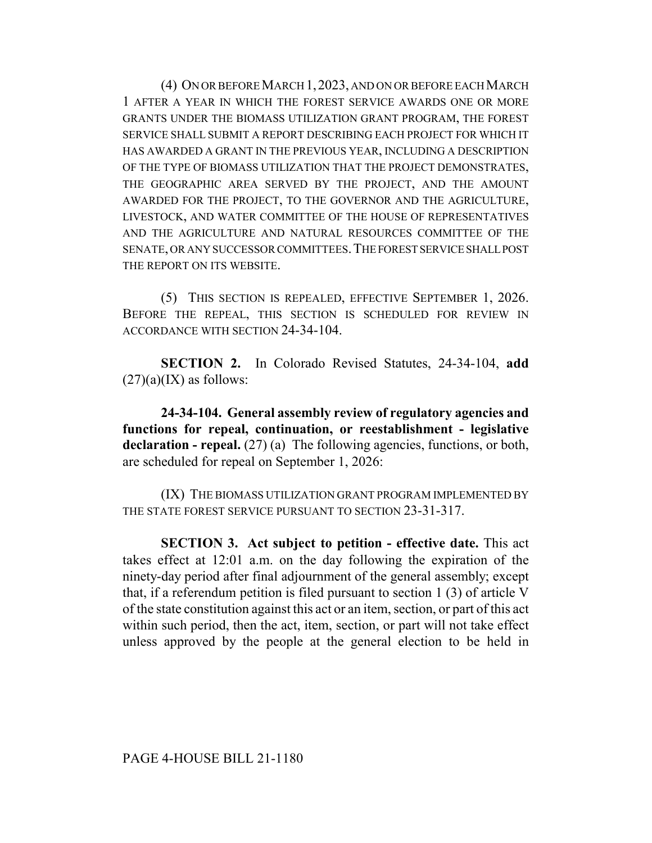(4) ON OR BEFORE MARCH 1,2023, AND ON OR BEFORE EACH MARCH 1 AFTER A YEAR IN WHICH THE FOREST SERVICE AWARDS ONE OR MORE GRANTS UNDER THE BIOMASS UTILIZATION GRANT PROGRAM, THE FOREST SERVICE SHALL SUBMIT A REPORT DESCRIBING EACH PROJECT FOR WHICH IT HAS AWARDED A GRANT IN THE PREVIOUS YEAR, INCLUDING A DESCRIPTION OF THE TYPE OF BIOMASS UTILIZATION THAT THE PROJECT DEMONSTRATES, THE GEOGRAPHIC AREA SERVED BY THE PROJECT, AND THE AMOUNT AWARDED FOR THE PROJECT, TO THE GOVERNOR AND THE AGRICULTURE, LIVESTOCK, AND WATER COMMITTEE OF THE HOUSE OF REPRESENTATIVES AND THE AGRICULTURE AND NATURAL RESOURCES COMMITTEE OF THE SENATE, OR ANY SUCCESSOR COMMITTEES.THE FOREST SERVICE SHALL POST THE REPORT ON ITS WEBSITE.

(5) THIS SECTION IS REPEALED, EFFECTIVE SEPTEMBER 1, 2026. BEFORE THE REPEAL, THIS SECTION IS SCHEDULED FOR REVIEW IN ACCORDANCE WITH SECTION 24-34-104.

**SECTION 2.** In Colorado Revised Statutes, 24-34-104, **add**  $(27)(a)(IX)$  as follows:

**24-34-104. General assembly review of regulatory agencies and functions for repeal, continuation, or reestablishment - legislative** declaration - repeal. (27) (a) The following agencies, functions, or both, are scheduled for repeal on September 1, 2026:

(IX) THE BIOMASS UTILIZATION GRANT PROGRAM IMPLEMENTED BY THE STATE FOREST SERVICE PURSUANT TO SECTION 23-31-317.

**SECTION 3. Act subject to petition - effective date.** This act takes effect at 12:01 a.m. on the day following the expiration of the ninety-day period after final adjournment of the general assembly; except that, if a referendum petition is filed pursuant to section 1 (3) of article V of the state constitution against this act or an item, section, or part of this act within such period, then the act, item, section, or part will not take effect unless approved by the people at the general election to be held in